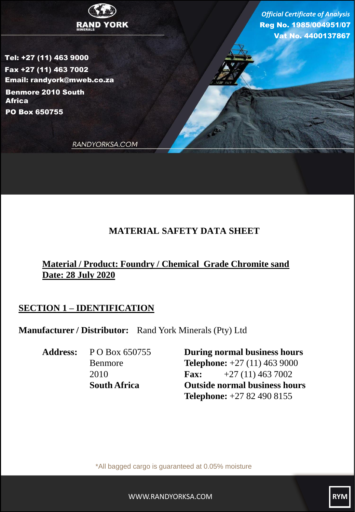

Tel: +27 (11) 463 9000 Fax +27 (11) 463 7002 Email: randyork@mweb.co.za PO Box 650755 Benmore 2010 South Africa

Reg No. 1985/004951/07 Vat No. 4400137867 *Official Certificate of Analysis*

RANDYORKSA.COM

## **MATERIAL SAFETY DATA SHEET**

# **Material / Product: Foundry / Chemical Grade Chromite sand Date: 28 July 2020**

# **SECTION 1 – IDENTIFICATION**

**Manufacturer / Distributor:** Rand York Minerals (Pty) Ltd

**Address:** P O Box 650755 **During normal business hours** Benmore **Telephone:** +27 (11) 463 9000 2010 **Fax:** +27 (11) 463 7002 **South Africa Outside normal business hours Telephone:** +27 82 490 8155

\*All bagged cargo is guaranteed at 0.05% moisture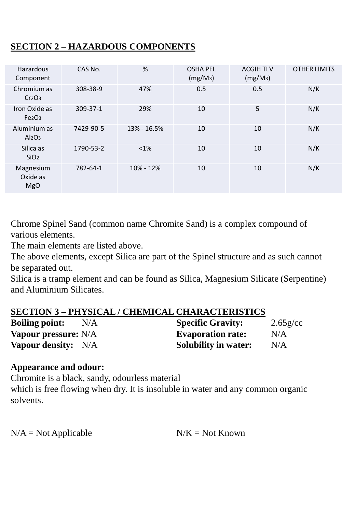# **SECTION 2 – HAZARDOUS COMPONENTS**

| Hazardous<br>Component                          | CAS No.   | %           | <b>OSHA PEL</b><br>(mg/M <sub>3</sub> ) | <b>ACGIH TLV</b><br>(mg/M <sub>3</sub> ) | <b>OTHER LIMITS</b> |
|-------------------------------------------------|-----------|-------------|-----------------------------------------|------------------------------------------|---------------------|
| Chromium as<br>Cr2O <sub>3</sub>                | 308-38-9  | 47%         | 0.5                                     | 0.5                                      | N/K                 |
| Iron Oxide as<br>Fe <sub>2</sub> O <sub>3</sub> | 309-37-1  | 29%         | 10                                      | 5                                        | N/K                 |
| Aluminium as<br>Al <sub>2</sub> O <sub>3</sub>  | 7429-90-5 | 13% - 16.5% | 10                                      | 10                                       | N/K                 |
| Silica as<br>SiO <sub>2</sub>                   | 1790-53-2 | $< 1\%$     | 10                                      | 10                                       | N/K                 |
| Magnesium<br>Oxide as<br><b>MgO</b>             | 782-64-1  | 10% - 12%   | 10                                      | 10                                       | N/K                 |

Chrome Spinel Sand (common name Chromite Sand) is a complex compound of various elements.

The main elements are listed above.

The above elements, except Silica are part of the Spinel structure and as such cannot be separated out.

Silica is a tramp element and can be found as Silica, Magnesium Silicate (Serpentine) and Aluminium Silicates.

### **SECTION 3 – PHYSICAL / CHEMICAL CHARACTERISTICS**

| <b>Boiling point:</b><br>N/A | <b>Specific Gravity:</b>    | $2.65$ g/cc |
|------------------------------|-----------------------------|-------------|
| <b>Vapour pressure:</b> N/A  | <b>Evaporation rate:</b>    | N/A         |
| <b>Vapour density:</b> N/A   | <b>Solubility in water:</b> | N/A         |

#### **Appearance and odour:**

Chromite is a black, sandy, odourless material

which is free flowing when dry. It is insoluble in water and any common organic solvents.

 $N/A = Not$  Applicable  $N/K = Not$  Known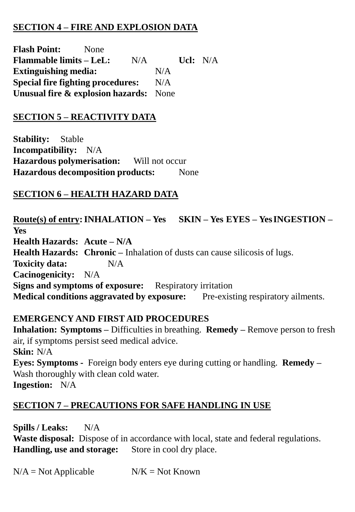## **SECTION 4 – FIRE AND EXPLOSION DATA**

**Flash Point:** None **Flammable limits – LeL:** N/A **Ucl:** N/A **Extinguishing media:** N/A **Special fire fighting procedures:** N/A **Unusual fire & explosion hazards:** None

#### **SECTION 5 – REACTIVITY DATA**

**Stability:** Stable **Incompatibility:** N/A **Hazardous polymerisation:** Will not occur **Hazardous decomposition products:** None

#### **SECTION 6 – HEALTH HAZARD DATA**

**Route(s) of entry:INHALATION – Yes SKIN – Yes EYES – YesINGESTION – Yes Health Hazards: Acute – N/A Health Hazards: Chronic –** Inhalation of dusts can cause silicosis of lugs. **Toxicity data:** N/A **Cacinogenicity:** N/A **Signs and symptoms of exposure:** Respiratory irritation **Medical conditions aggravated by exposure:** Pre-existing respiratory ailments.

#### **EMERGENCY AND FIRST AID PROCEDURES**

**Inhalation: Symptoms –** Difficulties in breathing. **Remedy –** Remove person to fresh air, if symptoms persist seed medical advice. **Skin:** N/A **Eyes: Symptoms -** Foreign body enters eye during cutting or handling. **Remedy –** Wash thoroughly with clean cold water. **Ingestion:** N/A

#### **SECTION 7 – PRECAUTIONS FOR SAFE HANDLING IN USE**

**Spills / Leaks:** N/A **Waste disposal:** Dispose of in accordance with local, state and federal regulations. **Handling, use and storage:** Store in cool dry place.

 $N/A = Not Applicable$   $N/K = Not Known$